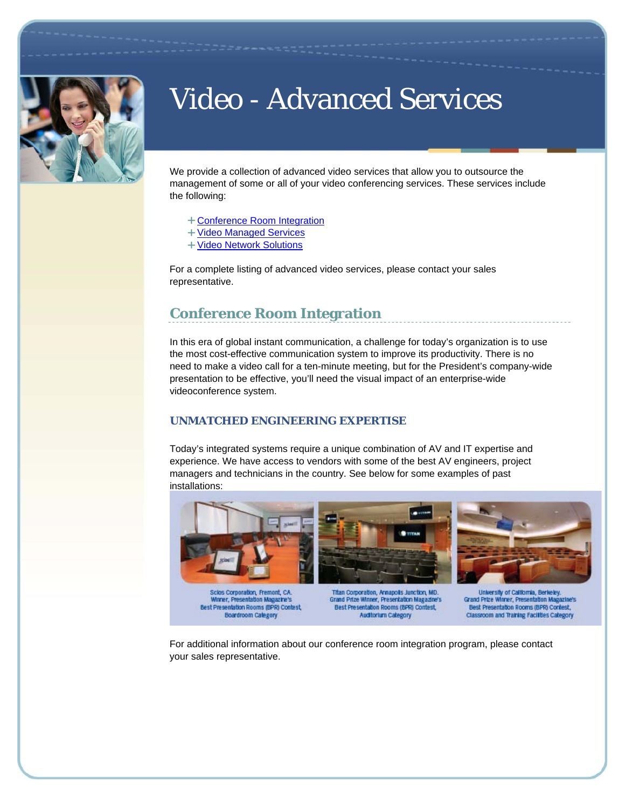

# Video - Advanced Services

We provide a collection of advanced video services that allow you to outsource the management of some or all of your video conferencing services. These services include the following:

- Conference Room Integration
- + Video Managed Services
- + Video Network Solutions

For a complete listing of advanced video services, please contact your sales representative.

## **Conference Room Integration**

In this era of global instant communication, a challenge for today's organization is to use the most cost-effective communication system to improve its productivity. There is no need to make a video call for a ten-minute meeting, but for the President's company-wide presentation to be effective, you'll need the visual impact of an enterprise-wide videoconference system.

### **UNMATCHED ENGINEERING EXPERTISE**

Today's integrated systems require a unique combination of AV and IT expertise and experience. We have access to vendors with some of the best AV engineers, project managers and technicians in the country. See below for some examples of past installations:



Scios Corporation, Fremont, CA **Moner, Presentation Ma Ura's** Best Presentation Rooms (BPR) Contest, **Boardroom Calegory** 

Annapolis Junction, MD. Grand Prize Winner, Presentation Magazine's Best Presentation Rooms (BPR) Contest, **Auditorium Category** 

**Holvers** illy of Califo Grand Prize Winner, Presentation Ma othe's Best Presentation Rooms (BPR) Contest, Classroom and Training Facilities Category

For additional information about our conference room integration program, please contact your sales representative.